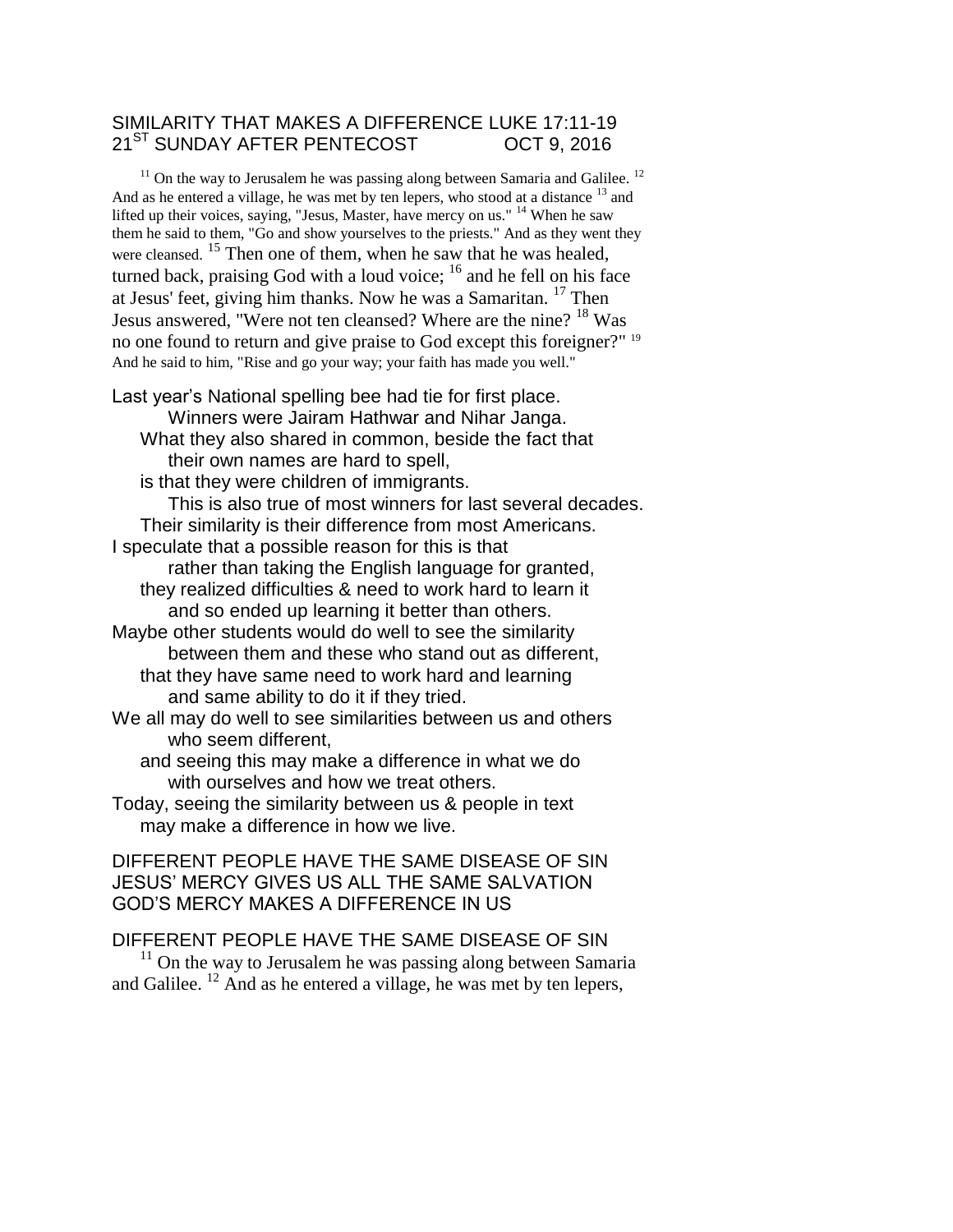## SIMILARITY THAT MAKES A DIFFERENCE LUKE 17:11-19 21<sup>ST</sup> SUNDAY AFTER PENTECOST OCT 9, 2016

 $11$  On the way to Jerusalem he was passing along between Samaria and Galilee.  $12$ And as he entered a village, he was met by ten lepers, who stood at a distance <sup>13</sup> and lifted up their voices, saying, "Jesus, Master, have mercy on us." <sup>14</sup> When he saw them he said to them, "Go and show yourselves to the priests." And as they went they were cleansed. <sup>15</sup> Then one of them, when he saw that he was healed, turned back, praising God with a loud voice;  $16$  and he fell on his face at Jesus' feet, giving him thanks. Now he was a Samaritan. <sup>17</sup> Then Jesus answered, "Were not ten cleansed? Where are the nine?<sup>18</sup> Was no one found to return and give praise to God except this foreigner?" <sup>19</sup> And he said to him, "Rise and go your way; your faith has made you well."

Last year's National spelling bee had tie for first place.

Winners were Jairam Hathwar and Nihar Janga. What they also shared in common, beside the fact that their own names are hard to spell,

is that they were children of immigrants.

This is also true of most winners for last several decades. Their similarity is their difference from most Americans.

I speculate that a possible reason for this is that

rather than taking the English language for granted, they realized difficulties & need to work hard to learn it and so ended up learning it better than others.

Maybe other students would do well to see the similarity between them and these who stand out as different, that they have same need to work hard and learning and same ability to do it if they tried.

We all may do well to see similarities between us and others who seem different,

and seeing this may make a difference in what we do with ourselves and how we treat others.

Today, seeing the similarity between us & people in text may make a difference in how we live.

## DIFFERENT PEOPLE HAVE THE SAME DISEASE OF SIN JESUS' MERCY GIVES US ALL THE SAME SALVATION GOD'S MERCY MAKES A DIFFERENCE IN US

## DIFFERENT PEOPLE HAVE THE SAME DISEASE OF SIN

 $11$  On the way to Jerusalem he was passing along between Samaria and Galilee. <sup>12</sup> And as he entered a village, he was met by ten lepers,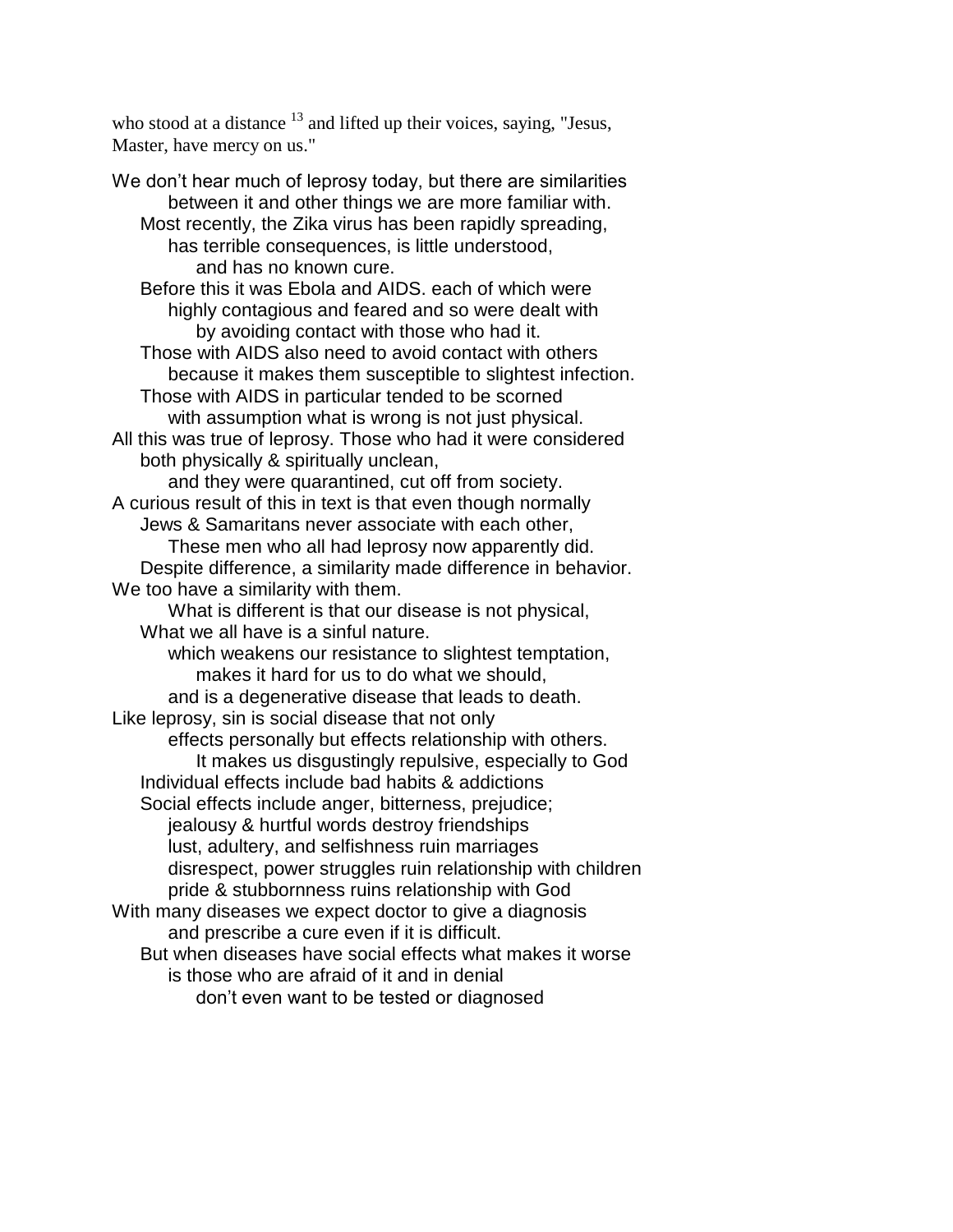who stood at a distance  $13$  and lifted up their voices, saying, "Jesus, Master, have mercy on us."

We don't hear much of leprosy today, but there are similarities between it and other things we are more familiar with. Most recently, the Zika virus has been rapidly spreading, has terrible consequences, is little understood, and has no known cure. Before this it was Ebola and AIDS. each of which were highly contagious and feared and so were dealt with by avoiding contact with those who had it. Those with AIDS also need to avoid contact with others because it makes them susceptible to slightest infection. Those with AIDS in particular tended to be scorned with assumption what is wrong is not just physical. All this was true of leprosy. Those who had it were considered both physically & spiritually unclean, and they were quarantined, cut off from society. A curious result of this in text is that even though normally Jews & Samaritans never associate with each other, These men who all had leprosy now apparently did. Despite difference, a similarity made difference in behavior. We too have a similarity with them. What is different is that our disease is not physical, What we all have is a sinful nature. which weakens our resistance to slightest temptation, makes it hard for us to do what we should, and is a degenerative disease that leads to death. Like leprosy, sin is social disease that not only effects personally but effects relationship with others. It makes us disgustingly repulsive, especially to God Individual effects include bad habits & addictions Social effects include anger, bitterness, prejudice; jealousy & hurtful words destroy friendships lust, adultery, and selfishness ruin marriages disrespect, power struggles ruin relationship with children pride & stubbornness ruins relationship with God With many diseases we expect doctor to give a diagnosis and prescribe a cure even if it is difficult. But when diseases have social effects what makes it worse is those who are afraid of it and in denial don't even want to be tested or diagnosed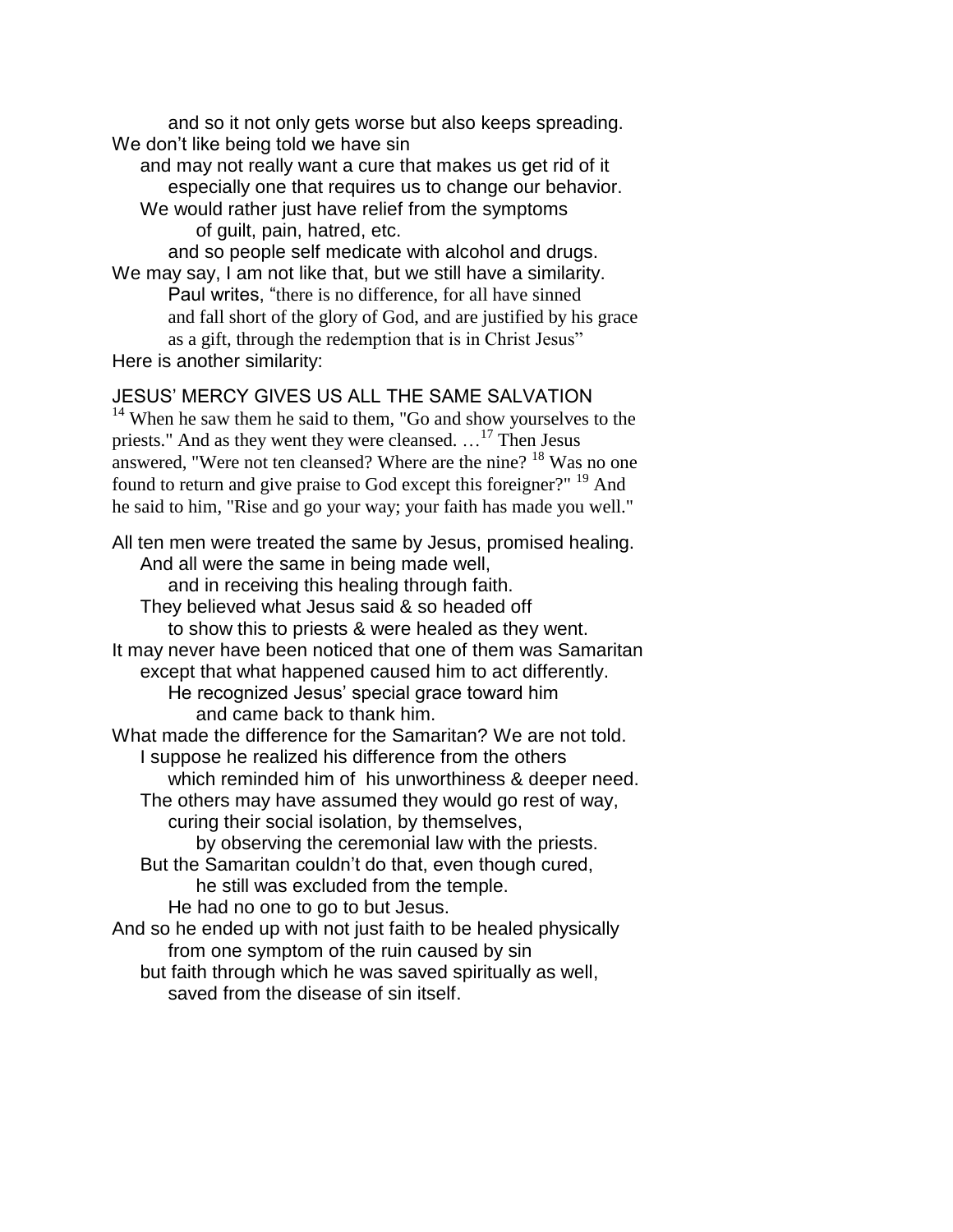and so it not only gets worse but also keeps spreading. We don't like being told we have sin

and may not really want a cure that makes us get rid of it especially one that requires us to change our behavior.

We would rather just have relief from the symptoms of guilt, pain, hatred, etc.

and so people self medicate with alcohol and drugs. We may say, I am not like that, but we still have a similarity. Paul writes, "there is no difference, for all have sinned and fall short of the glory of God, and are justified by his grace as a gift, through the redemption that is in Christ Jesus" Here is another similarity:

## JESUS' MERCY GIVES US ALL THE SAME SALVATION

 $14$  When he saw them he said to them, "Go and show yourselves to the priests." And as they went they were cleansed. ...<sup>17</sup> Then Jesus answered, "Were not ten cleansed? Where are the nine? <sup>18</sup> Was no one found to return and give praise to God except this foreigner?" <sup>19</sup> And he said to him, "Rise and go your way; your faith has made you well."

All ten men were treated the same by Jesus, promised healing. And all were the same in being made well, and in receiving this healing through faith. They believed what Jesus said & so headed off to show this to priests & were healed as they went. It may never have been noticed that one of them was Samaritan except that what happened caused him to act differently. He recognized Jesus' special grace toward him and came back to thank him. What made the difference for the Samaritan? We are not told. I suppose he realized his difference from the others which reminded him of his unworthiness & deeper need. The others may have assumed they would go rest of way, curing their social isolation, by themselves, by observing the ceremonial law with the priests. But the Samaritan couldn't do that, even though cured, he still was excluded from the temple. He had no one to go to but Jesus. And so he ended up with not just faith to be healed physically from one symptom of the ruin caused by sin but faith through which he was saved spiritually as well, saved from the disease of sin itself.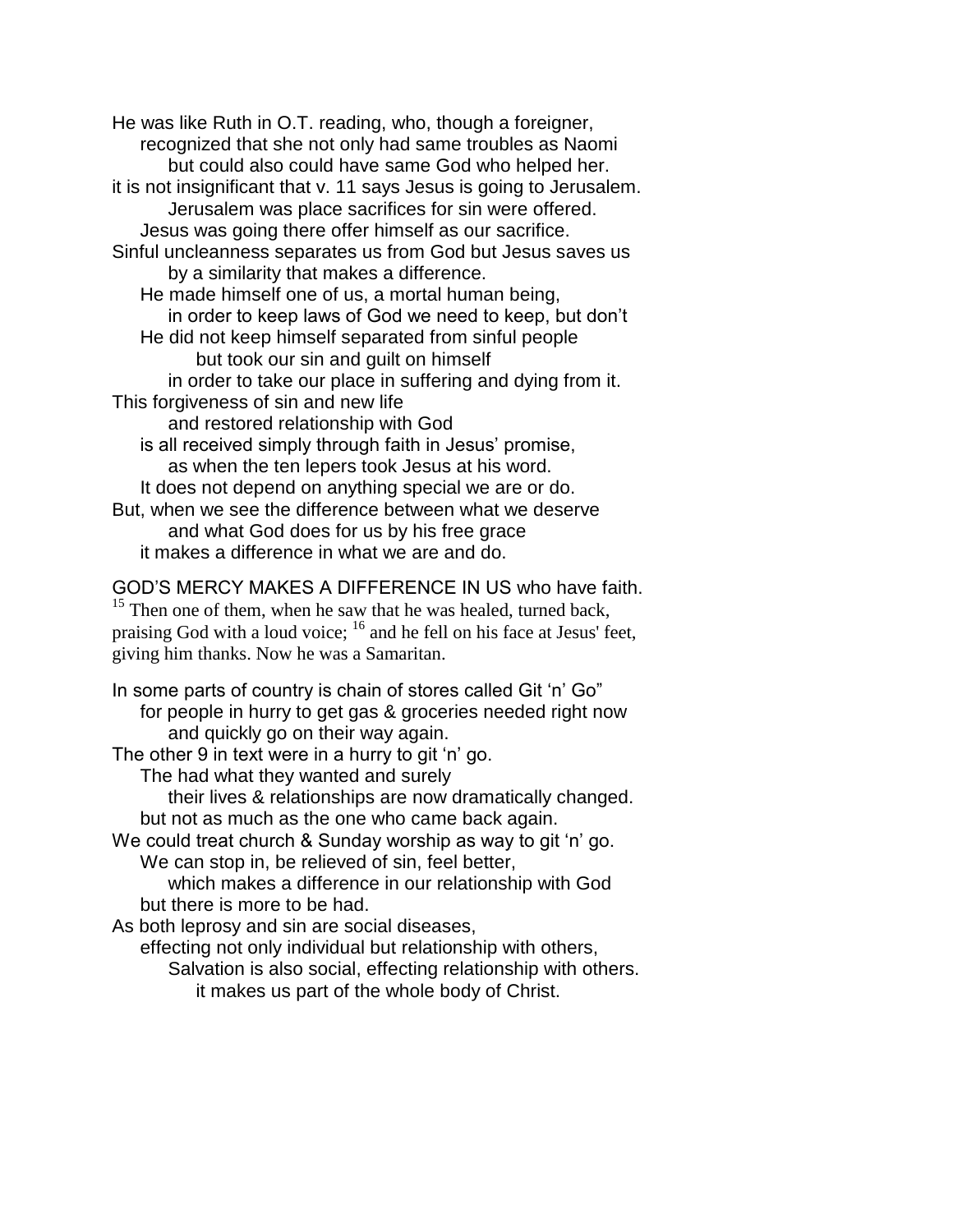He was like Ruth in O.T. reading, who, though a foreigner, recognized that she not only had same troubles as Naomi but could also could have same God who helped her. it is not insignificant that v. 11 says Jesus is going to Jerusalem. Jerusalem was place sacrifices for sin were offered. Jesus was going there offer himself as our sacrifice. Sinful uncleanness separates us from God but Jesus saves us by a similarity that makes a difference. He made himself one of us, a mortal human being, in order to keep laws of God we need to keep, but don't He did not keep himself separated from sinful people but took our sin and guilt on himself in order to take our place in suffering and dying from it. This forgiveness of sin and new life and restored relationship with God is all received simply through faith in Jesus' promise, as when the ten lepers took Jesus at his word. It does not depend on anything special we are or do. But, when we see the difference between what we deserve and what God does for us by his free grace it makes a difference in what we are and do.

GOD'S MERCY MAKES A DIFFERENCE IN US who have faith.  $15$  Then one of them, when he saw that he was healed, turned back, praising God with a loud voice; <sup>16</sup> and he fell on his face at Jesus' feet, giving him thanks. Now he was a Samaritan.

In some parts of country is chain of stores called Git 'n' Go" for people in hurry to get gas & groceries needed right now and quickly go on their way again.

The other 9 in text were in a hurry to git 'n' go.

The had what they wanted and surely

their lives & relationships are now dramatically changed. but not as much as the one who came back again.

We could treat church & Sunday worship as way to git 'n' go. We can stop in, be relieved of sin, feel better,

which makes a difference in our relationship with God but there is more to be had.

As both leprosy and sin are social diseases,

effecting not only individual but relationship with others, Salvation is also social, effecting relationship with others. it makes us part of the whole body of Christ.